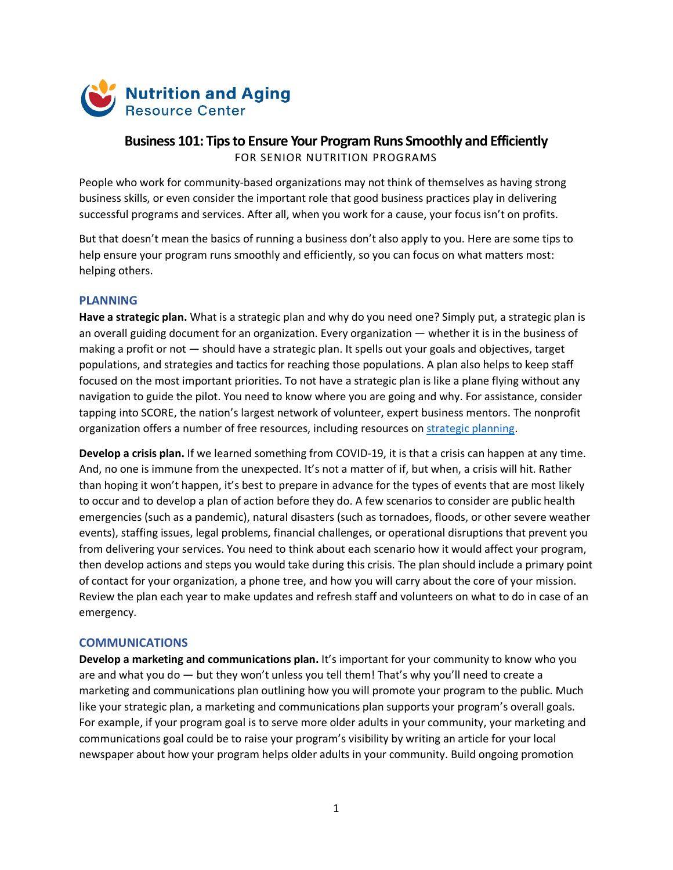

# **Business 101: Tips to Ensure Your Program Runs Smoothly and Efficiently** FOR SENIOR NUTRITION PROGRAMS

People who work for community-based organizations may not think of themselves as having strong business skills, or even consider the important role that good business practices play in delivering successful programs and services. After all, when you work for a cause, your focus isn't on profits.

But that doesn't mean the basics of running a business don't also apply to you. Here are some tips to help ensure your program runs smoothly and efficiently, so you can focus on what matters most: helping others.

## **PLANNING**

**Have a strategic plan.** What is a strategic plan and why do you need one? Simply put, a strategic plan is an overall guiding document for an organization. Every organization — whether it is in the business of making a profit or not ― should have a strategic plan. It spells out your goals and objectives, target populations, and strategies and tactics for reaching those populations. A plan also helps to keep staff focused on the most important priorities. To not have a strategic plan is like a plane flying without any navigation to guide the pilot. You need to know where you are going and why. For assistance, consider tapping into SCORE, the nation's largest network of volunteer, expert business mentors. The nonprofit organization offers a number of free resources, including resources on [strategic planning.](https://www.score.org/search/site/strategic%20planning)

**Develop a crisis plan.** If we learned something from COVID-19, it is that a crisis can happen at any time. And, no one is immune from the unexpected. It's not a matter of if, but when, a crisis will hit. Rather than hoping it won't happen, it's best to prepare in advance for the types of events that are most likely to occur and to develop a plan of action before they do. A few scenarios to consider are public health emergencies (such as a pandemic), natural disasters (such as tornadoes, floods, or other severe weather events), staffing issues, legal problems, financial challenges, or operational disruptions that prevent you from delivering your services. You need to think about each scenario how it would affect your program, then develop actions and steps you would take during this crisis. The plan should include a primary point of contact for your organization, a phone tree, and how you will carry about the core of your mission. Review the plan each year to make updates and refresh staff and volunteers on what to do in case of an emergency.

### **COMMUNICATIONS**

**Develop a marketing and communications plan.** It's important for your community to know who you are and what you do — but they won't unless you tell them! That's why you'll need to create a marketing and communications plan outlining how you will promote your program to the public. Much like your strategic plan, a marketing and communications plan supports your program's overall goals. For example, if your program goal is to serve more older adults in your community, your marketing and communications goal could be to raise your program's visibility by writing an article for your local newspaper about how your program helps older adults in your community. Build ongoing promotion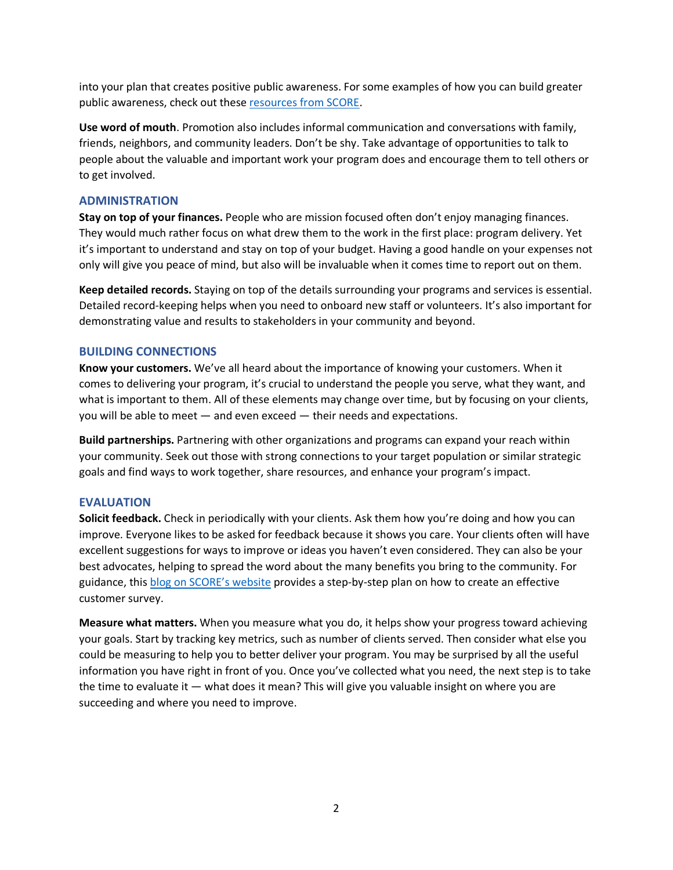into your plan that creates positive public awareness. For some examples of how you can build greater public awareness, check out these [resources from SCORE.](https://www.score.org/search/site/building%20public%20awareness)

**Use word of mouth**. Promotion also includes informal communication and conversations with family, friends, neighbors, and community leaders. Don't be shy. Take advantage of opportunities to talk to people about the valuable and important work your program does and encourage them to tell others or to get involved.

### **ADMINISTRATION**

**Stay on top of your finances.** People who are mission focused often don't enjoy managing finances. They would much rather focus on what drew them to the work in the first place: program delivery. Yet it's important to understand and stay on top of your budget. Having a good handle on your expenses not only will give you peace of mind, but also will be invaluable when it comes time to report out on them.

**Keep detailed records.** Staying on top of the details surrounding your programs and services is essential. Detailed record-keeping helps when you need to onboard new staff or volunteers. It's also important for demonstrating value and results to stakeholders in your community and beyond.

#### **BUILDING CONNECTIONS**

**Know your customers.** We've all heard about the importance of knowing your customers. When it comes to delivering your program, it's crucial to understand the people you serve, what they want, and what is important to them. All of these elements may change over time, but by focusing on your clients, you will be able to meet — and even exceed — their needs and expectations.

**Build partnerships.** Partnering with other organizations and programs can expand your reach within your community. Seek out those with strong connections to your target population or similar strategic goals and find ways to work together, share resources, and enhance your program's impact.

### **EVALUATION**

**Solicit feedback.** Check in periodically with your clients. Ask them how you're doing and how you can improve. Everyone likes to be asked for feedback because it shows you care. Your clients often will have excellent suggestions for ways to improve or ideas you haven't even considered. They can also be your best advocates, helping to spread the word about the many benefits you bring to the community. For guidance, thi[s blog on SCORE's website](https://www.score.org/blog/voice-customer-steps-conducting-online-feedback-surveys) provides a step-by-step plan on how to create an effective customer survey.

**Measure what matters.** When you measure what you do, it helps show your progress toward achieving your goals. Start by tracking key metrics, such as number of clients served. Then consider what else you could be measuring to help you to better deliver your program. You may be surprised by all the useful information you have right in front of you. Once you've collected what you need, the next step is to take the time to evaluate it — what does it mean? This will give you valuable insight on where you are succeeding and where you need to improve.